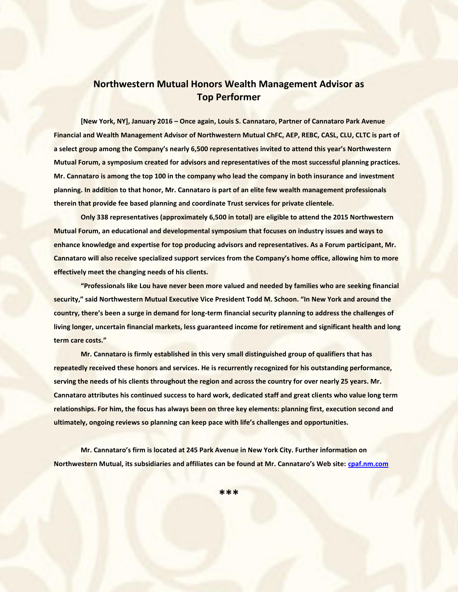## **Northwestern Mutual Honors Wealth Management Advisor as Top Performer**

**[New York, NY], January 2016 – Once again, Louis S. Cannataro, Partner of Cannataro Park Avenue Financial and Wealth Management Advisor of Northwestern Mutual ChFC, AEP, REBC, CASL, CLU, CLTC is part of a select group among the Company's nearly 6,500 representatives invited to attend this year's Northwestern Mutual Forum, a symposium created for advisors and representatives of the most successful planning practices. Mr. Cannataro is among the top 100 in the company who lead the company in both insurance and investment planning. In addition to that honor, Mr. Cannataro is part of an elite few wealth management professionals therein that provide fee based planning and coordinate Trust services for private clientele.** 

**Only 338 representatives (approximately 6,500 in total) are eligible to attend the 2015 Northwestern Mutual Forum, an educational and developmental symposium that focuses on industry issues and ways to enhance knowledge and expertise for top producing advisors and representatives. As a Forum participant, Mr. Cannataro will also receive specialized support services from the Company's home office, allowing him to more effectively meet the changing needs of his clients.** 

**"Professionals like Lou have never been more valued and needed by families who are seeking financial security," said Northwestern Mutual Executive Vice President Todd M. Schoon. "In New York and around the country, there's been a surge in demand for long-term financial security planning to address the challenges of living longer, uncertain financial markets, less guaranteed income for retirement and significant health and long term care costs."** 

**Mr. Cannataro is firmly established in this very small distinguished group of qualifiers that has repeatedly received these honors and services. He is recurrently recognized for his outstanding performance, serving the needs of his clients throughout the region and across the country for over nearly 25 years. Mr. Cannataro attributes his continued success to hard work, dedicated staff and great clients who value long term relationships. For him, the focus has always been on three key elements: planning first, execution second and ultimately, ongoing reviews so planning can keep pace with life's challenges and opportunities.** 

**Mr. Cannataro's firm is located at 245 Park Avenue in New York City. Further information on Northwestern Mutual, its subsidiaries and affiliates can be found at Mr. Cannataro's Web site: [cpaf.nm.com](http://cpaf.nm.com/)**

**\*\*\***